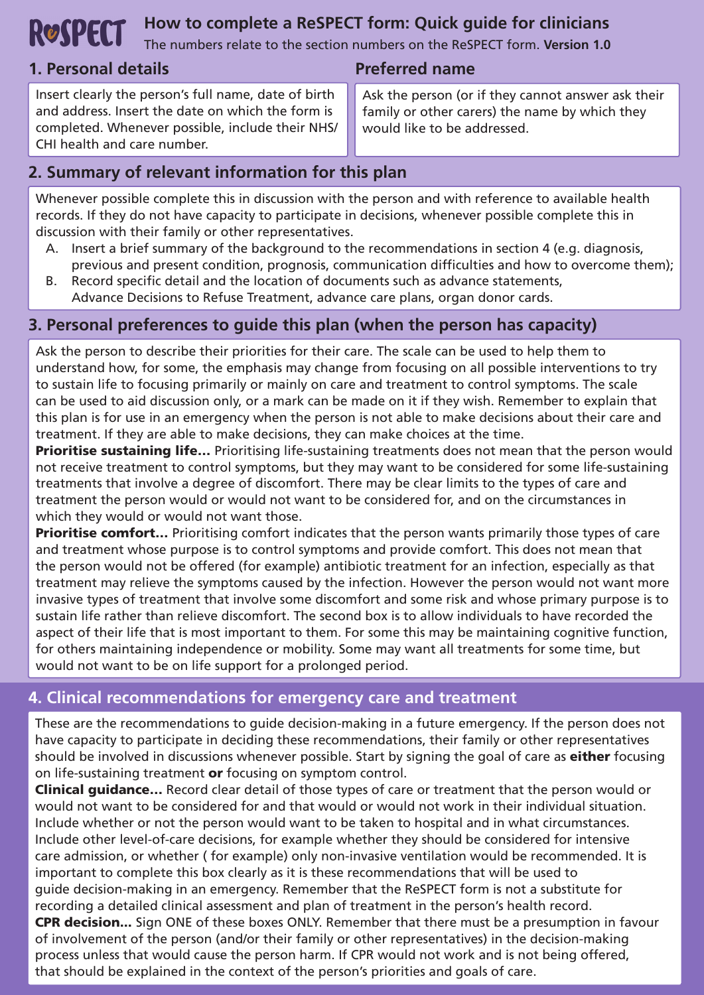# **ROSPECT** How to complete a ReSPECT form: Quick guide for clinicians

The numbers relate to the section numbers on the ReSPECT form. **Version 1.0**

# **1. Personal details Preferred name**

Insert clearly the person's full name, date of birth and address. Insert the date on which the form is completed. Whenever possible, include their NHS/ CHI health and care number.

Ask the person (or if they cannot answer ask their family or other carers) the name by which they would like to be addressed.

# **2. Summary of relevant information for this plan**

Whenever possible complete this in discussion with the person and with reference to available health records. If they do not have capacity to participate in decisions, whenever possible complete this in discussion with their family or other representatives.

- A. Insert a brief summary of the background to the recommendations in section 4 (e.g. diagnosis, previous and present condition, prognosis, communication difficulties and how to overcome them);
- B. Record specific detail and the location of documents such as advance statements, Advance Decisions to Refuse Treatment, advance care plans, organ donor cards.

# **3. Personal preferences to guide this plan (when the person has capacity)**

Ask the person to describe their priorities for their care. The scale can be used to help them to understand how, for some, the emphasis may change from focusing on all possible interventions to try to sustain life to focusing primarily or mainly on care and treatment to control symptoms. The scale can be used to aid discussion only, or a mark can be made on it if they wish. Remember to explain that this plan is for use in an emergency when the person is not able to make decisions about their care and treatment. If they are able to make decisions, they can make choices at the time.

**Prioritise sustaining life...** Prioritising life-sustaining treatments does not mean that the person would not receive treatment to control symptoms, but they may want to be considered for some life-sustaining treatments that involve a degree of discomfort. There may be clear limits to the types of care and treatment the person would or would not want to be considered for, and on the circumstances in which they would or would not want those.

**Prioritise comfort...** Prioritising comfort indicates that the person wants primarily those types of care and treatment whose purpose is to control symptoms and provide comfort. This does not mean that the person would not be offered (for example) antibiotic treatment for an infection, especially as that treatment may relieve the symptoms caused by the infection. However the person would not want more invasive types of treatment that involve some discomfort and some risk and whose primary purpose is to sustain life rather than relieve discomfort. The second box is to allow individuals to have recorded the aspect of their life that is most important to them. For some this may be maintaining cognitive function, for others maintaining independence or mobility. Some may want all treatments for some time, but would not want to be on life support for a prolonged period.

# **4. Clinical recommendations for emergency care and treatment**

These are the recommendations to guide decision-making in a future emergency. If the person does not have capacity to participate in deciding these recommendations, their family or other representatives should be involved in discussions whenever possible. Start by signing the goal of care as either focusing on life-sustaining treatment or focusing on symptom control.

**Clinical guidance...** Record clear detail of those types of care or treatment that the person would or would not want to be considered for and that would or would not work in their individual situation. Include whether or not the person would want to be taken to hospital and in what circumstances. Include other level-of-care decisions, for example whether they should be considered for intensive care admission, or whether ( for example) only non-invasive ventilation would be recommended. It is important to complete this box clearly as it is these recommendations that will be used to guide decision-making in an emergency. Remember that the ReSPECT form is not a substitute for recording a detailed clinical assessment and plan of treatment in the person's health record. CPR decision... Sign ONE of these boxes ONLY. Remember that there must be a presumption in favour of involvement of the person (and/or their family or other representatives) in the decision-making process unless that would cause the person harm. If CPR would not work and is not being offered, that should be explained in the context of the person's priorities and goals of care.